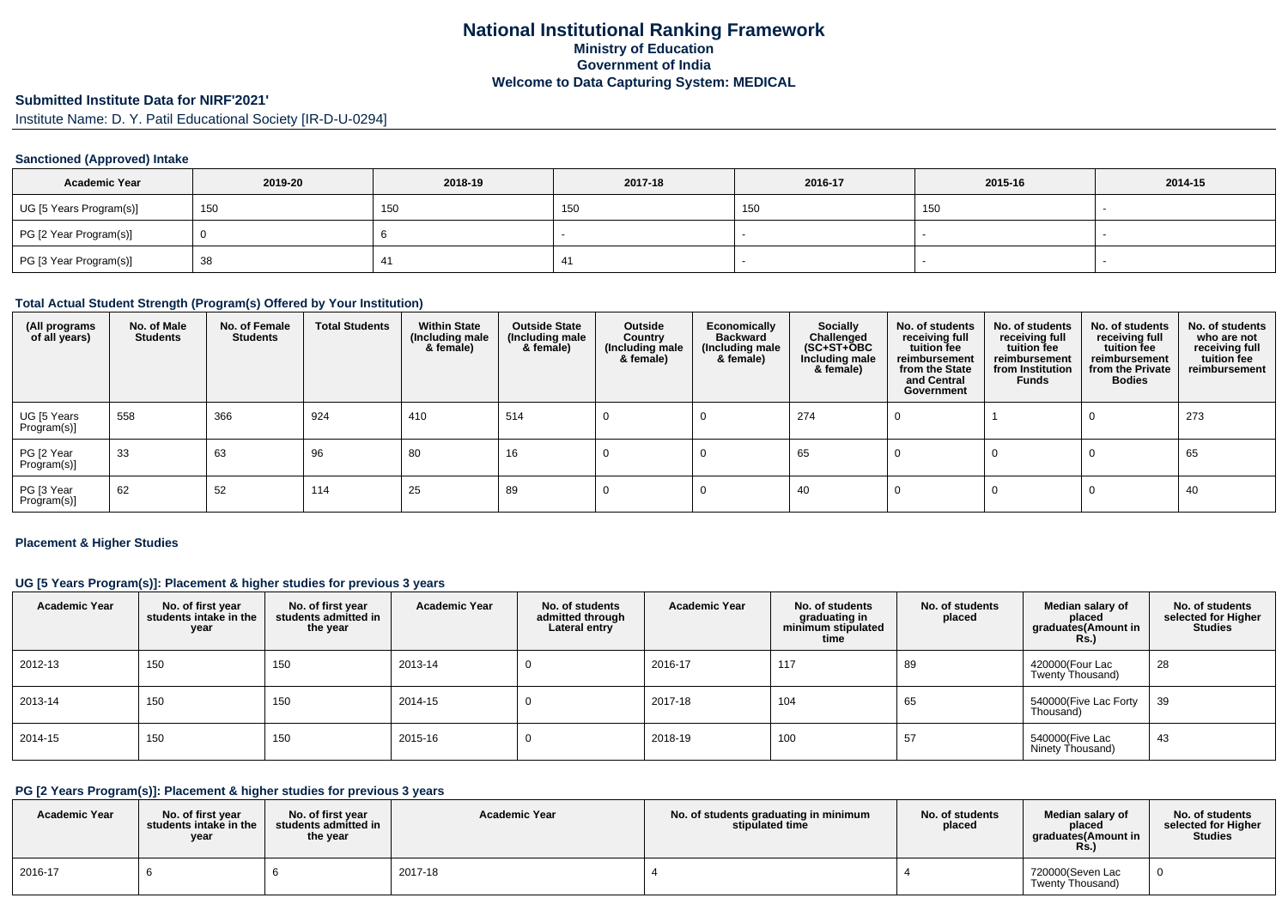## **National Institutional Ranking FrameworkMinistry of Education Government of IndiaWelcome to Data Capturing System: MEDICAL**

# **Submitted Institute Data for NIRF'2021'**

Institute Name: D. Y. Patil Educational Society [IR-D-U-0294]

#### **Sanctioned (Approved) Intake**

| <b>Academic Year</b>    | 2019-20 | 2018-19 | 2017-18 | 2016-17 | 2015-16 | 2014-15 |
|-------------------------|---------|---------|---------|---------|---------|---------|
| UG [5 Years Program(s)] | 150     | 150     | 150     | 150     | 150     |         |
| PG [2 Year Program(s)]  |         |         |         |         |         |         |
| PG [3 Year Program(s)]  | 38      |         | $^{4}$  |         |         |         |

#### **Total Actual Student Strength (Program(s) Offered by Your Institution)**

| (All programs<br>of all years) | No. of Male<br><b>Students</b> | No. of Female<br><b>Students</b> | <b>Total Students</b> | <b>Within State</b><br>(Including male<br>& female) | <b>Outside State</b><br>(Including male<br>& female) | Outside<br>Country<br>(Including male<br>& female) | Economically<br><b>Backward</b><br>(Including male<br>& female) | Socially<br>Challenged<br>$(SC+ST+OBC)$<br>Including male<br>& female) | No. of students<br>receiving full<br>tuition fee<br>reimbursement<br>from the State<br>and Central<br>Government | No. of students<br>receiving full<br>tuition fee<br>reimbursement<br>from Institution<br><b>Funds</b> | No. of students<br>receiving full<br>tuition fee<br>reimbursement<br>from the Private<br><b>Bodies</b> | No. of students<br>who are not<br>receiving full<br>tuition fee<br>reimbursement |
|--------------------------------|--------------------------------|----------------------------------|-----------------------|-----------------------------------------------------|------------------------------------------------------|----------------------------------------------------|-----------------------------------------------------------------|------------------------------------------------------------------------|------------------------------------------------------------------------------------------------------------------|-------------------------------------------------------------------------------------------------------|--------------------------------------------------------------------------------------------------------|----------------------------------------------------------------------------------|
| UG [5 Years<br>Program(s)]     | 558                            | 366                              | 924                   | 410                                                 | 514                                                  |                                                    |                                                                 | 274                                                                    |                                                                                                                  |                                                                                                       |                                                                                                        | 273                                                                              |
| PG [2 Year<br>Program(s)]      | 33                             | 63                               | 96                    | 80                                                  | 16                                                   |                                                    |                                                                 | 65                                                                     |                                                                                                                  |                                                                                                       |                                                                                                        | 65                                                                               |
| PG [3 Year<br>Program(s)]      | 62                             | 52                               | 114                   | 25                                                  | 89                                                   |                                                    |                                                                 | 40                                                                     |                                                                                                                  |                                                                                                       |                                                                                                        | 40                                                                               |

#### **Placement & Higher Studies**

#### **UG [5 Years Program(s)]: Placement & higher studies for previous 3 years**

| <b>Academic Year</b> | No. of first year<br>students intake in the<br>year | No. of first year<br>students admitted in<br>the year | <b>Academic Year</b> | No. of students<br>admitted through<br>Lateral entry | <b>Academic Year</b> | No. of students<br>graduating in<br>minimum stipulated<br>time | No. of students<br>placed | Median salary of<br>placed<br>graduates(Amount in<br><b>Rs.)</b> | No. of students<br>selected for Higher<br><b>Studies</b> |
|----------------------|-----------------------------------------------------|-------------------------------------------------------|----------------------|------------------------------------------------------|----------------------|----------------------------------------------------------------|---------------------------|------------------------------------------------------------------|----------------------------------------------------------|
| 2012-13              | 150                                                 | 150                                                   | 2013-14              |                                                      | 2016-17              | 117                                                            | 89                        | 420000(Four Lac<br>Twenty Thousand)                              | 28                                                       |
| 2013-14              | 150                                                 | 150                                                   | 2014-15              |                                                      | 2017-18              | 104                                                            | 65                        | 540000(Five Lac Forty<br>Thousand)                               | 39                                                       |
| 2014-15              | 150                                                 | 150                                                   | 2015-16              |                                                      | 2018-19              | 100                                                            | 57                        | 540000(Five Lac<br>Ninety Thousand)                              | 43                                                       |

## **PG [2 Years Program(s)]: Placement & higher studies for previous 3 years**

| <b>Academic Year</b> | No. of first year<br>students intake in the<br>year | No. of first year<br>students admitted in<br>the year | <b>Academic Year</b> | No. of students graduating in minimum<br>stipulated time | No. of students<br>placed | Median salary of<br>placed<br>araduates(Amount in<br><b>Rs.)</b> | No. of students<br>selected for Higher<br><b>Studies</b> |
|----------------------|-----------------------------------------------------|-------------------------------------------------------|----------------------|----------------------------------------------------------|---------------------------|------------------------------------------------------------------|----------------------------------------------------------|
| 2016-17              |                                                     |                                                       | 2017-18              |                                                          |                           | 720000(Seven Lac<br>Twenty Thousand)                             |                                                          |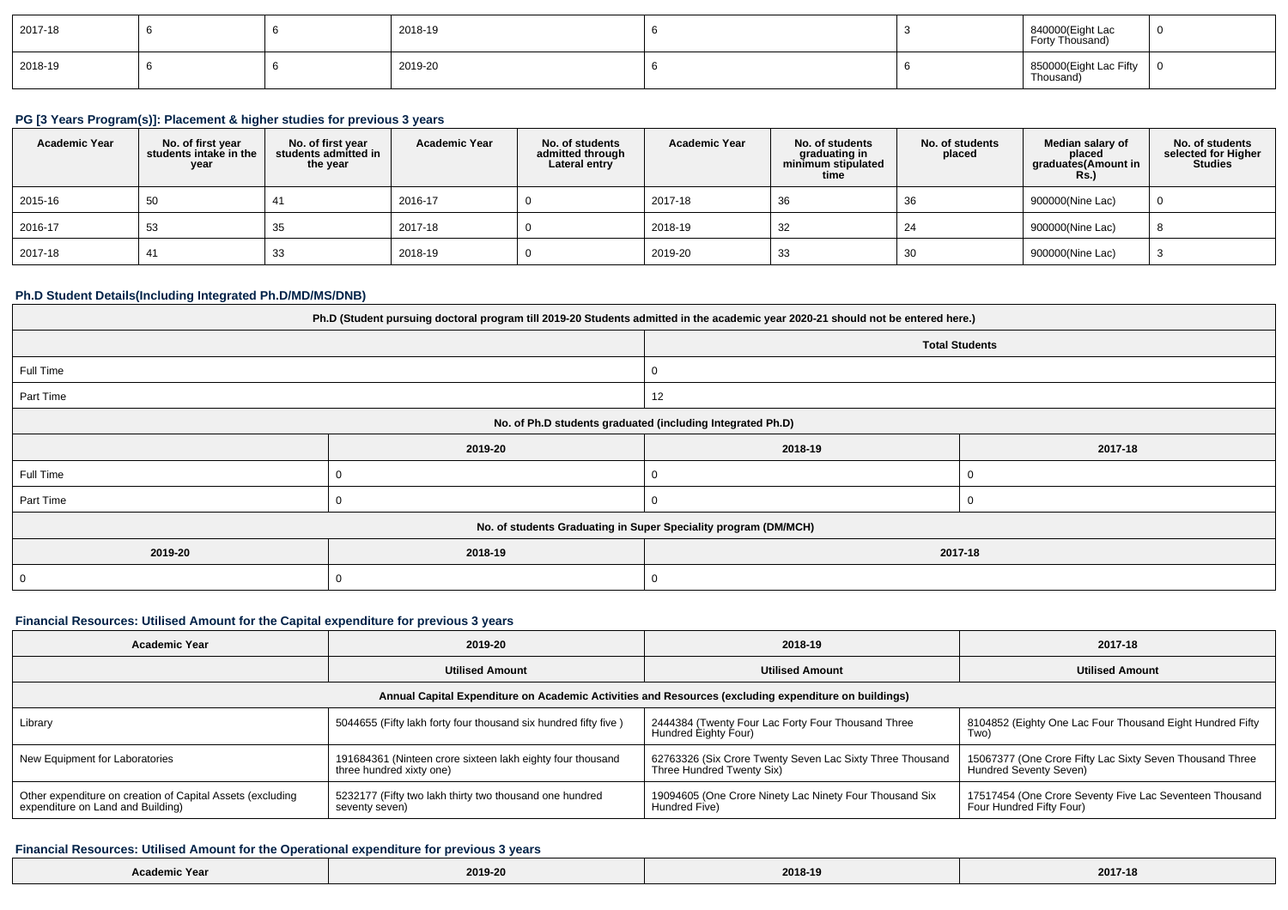| 2017-18 |  | 2018-19 |  | 840000(Eight Lac<br>Forty Thousand) | - 0            |
|---------|--|---------|--|-------------------------------------|----------------|
| 2018-19 |  | 2019-20 |  | 850000(Eight Lac Fifty<br>Thousand) | $\overline{0}$ |

## **PG [3 Years Program(s)]: Placement & higher studies for previous 3 years**

| <b>Academic Year</b> | No. of first year<br>students intake in the<br>year | No. of first vear<br>students admitted in<br>the year | <b>Academic Year</b> | No. of students<br>admitted through<br>Lateral entry | <b>Academic Year</b> | No. of students<br>graduating in<br>minimum stipulated<br>time | No. of students<br>placed | Median salary of<br>placed<br>graduates(Amount in<br><b>Rs.)</b> | No. of students<br>selected for Higher<br><b>Studies</b> |
|----------------------|-----------------------------------------------------|-------------------------------------------------------|----------------------|------------------------------------------------------|----------------------|----------------------------------------------------------------|---------------------------|------------------------------------------------------------------|----------------------------------------------------------|
| 2015-16              | 50                                                  | 41                                                    | 2016-17              |                                                      | 2017-18              | 36                                                             | 36                        | 900000(Nine Lac)                                                 | $\overline{0}$                                           |
| 2016-17              | 53                                                  | 35                                                    | 2017-18              |                                                      | 2018-19              | 32                                                             | 24                        | 900000(Nine Lac)                                                 | 8                                                        |
| 2017-18              | 41                                                  | 33                                                    | 2018-19              |                                                      | 2019-20              | 33                                                             | 30                        | 900000(Nine Lac)                                                 | -3                                                       |

## **Ph.D Student Details(Including Integrated Ph.D/MD/MS/DNB)**

| Ph.D (Student pursuing doctoral program till 2019-20 Students admitted in the academic year 2020-21 should not be entered here.) |                       |                    |  |  |  |  |
|----------------------------------------------------------------------------------------------------------------------------------|-----------------------|--------------------|--|--|--|--|
|                                                                                                                                  | <b>Total Students</b> |                    |  |  |  |  |
| Full Time                                                                                                                        |                       |                    |  |  |  |  |
| Part Time                                                                                                                        |                       | 12                 |  |  |  |  |
| No. of Ph.D students graduated (including Integrated Ph.D)                                                                       |                       |                    |  |  |  |  |
|                                                                                                                                  | 2019-20               | 2018-19<br>2017-18 |  |  |  |  |
| Full Time                                                                                                                        |                       |                    |  |  |  |  |
| Part Time                                                                                                                        |                       |                    |  |  |  |  |
| No. of students Graduating in Super Speciality program (DM/MCH)                                                                  |                       |                    |  |  |  |  |
| 2019-20                                                                                                                          | 2018-19               | 2017-18            |  |  |  |  |
| $\overline{0}$                                                                                                                   |                       | 0                  |  |  |  |  |

## **Financial Resources: Utilised Amount for the Capital expenditure for previous 3 years**

| <b>Academic Year</b>                                                                                 | 2019-20                                                                                | 2018-19                                                                                | 2017-18                                                                             |  |  |  |  |  |
|------------------------------------------------------------------------------------------------------|----------------------------------------------------------------------------------------|----------------------------------------------------------------------------------------|-------------------------------------------------------------------------------------|--|--|--|--|--|
|                                                                                                      | <b>Utilised Amount</b>                                                                 | <b>Utilised Amount</b>                                                                 | <b>Utilised Amount</b>                                                              |  |  |  |  |  |
| Annual Capital Expenditure on Academic Activities and Resources (excluding expenditure on buildings) |                                                                                        |                                                                                        |                                                                                     |  |  |  |  |  |
| Library                                                                                              | 5044655 (Fifty lakh forty four thousand six hundred fifty five)                        | 2444384 (Twenty Four Lac Forty Four Thousand Three<br>Hundred Eighty Four)             | 8104852 (Eighty One Lac Four Thousand Eight Hundred Fifty<br>Two)                   |  |  |  |  |  |
| New Equipment for Laboratories                                                                       | 191684361 (Ninteen crore sixteen lakh eighty four thousand<br>three hundred xixty one) | 62763326 (Six Crore Twenty Seven Lac Sixty Three Thousand<br>Three Hundred Twenty Six) | 15067377 (One Crore Fifty Lac Sixty Seven Thousand Three<br>Hundred Seventy Seven)  |  |  |  |  |  |
| Other expenditure on creation of Capital Assets (excluding<br>expenditure on Land and Building)      | 5232177 (Fifty two lakh thirty two thousand one hundred<br>seventy seven)              | 19094605 (One Crore Ninety Lac Ninety Four Thousand Six<br>Hundred Five)               | 17517454 (One Crore Seventy Five Lac Seventeen Thousand<br>Four Hundred Fifty Four) |  |  |  |  |  |

#### **Financial Resources: Utilised Amount for the Operational expenditure for previous 3 years**

| Academic Year | 2019-20 | 2018-19 | 2017-18 |
|---------------|---------|---------|---------|
|---------------|---------|---------|---------|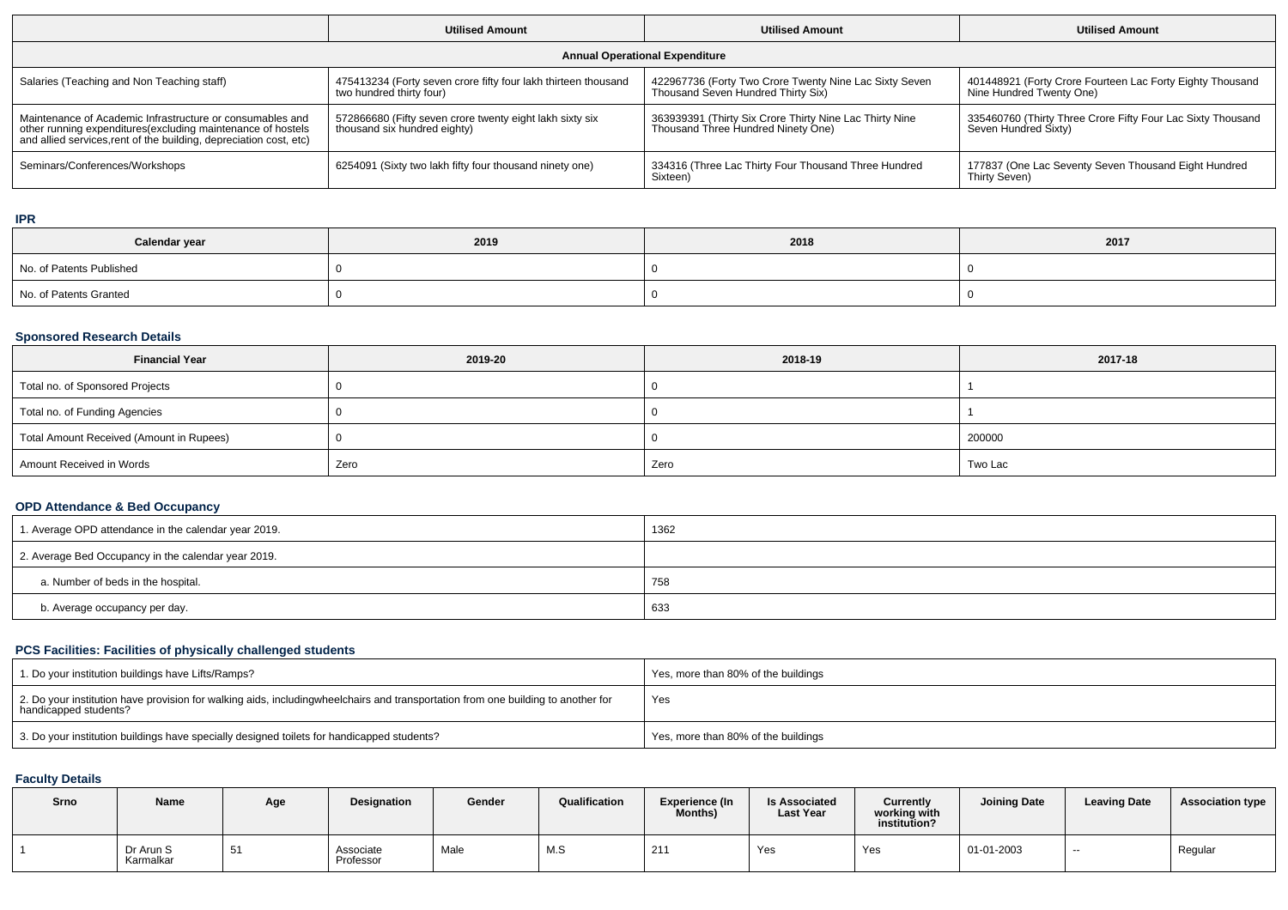|                                                                                                                                                                                                 | <b>Utilised Amount</b>                                                                     | <b>Utilised Amount</b>                                                                        | <b>Utilised Amount</b>                                                                |  |  |  |  |  |
|-------------------------------------------------------------------------------------------------------------------------------------------------------------------------------------------------|--------------------------------------------------------------------------------------------|-----------------------------------------------------------------------------------------------|---------------------------------------------------------------------------------------|--|--|--|--|--|
| <b>Annual Operational Expenditure</b>                                                                                                                                                           |                                                                                            |                                                                                               |                                                                                       |  |  |  |  |  |
| Salaries (Teaching and Non Teaching staff)                                                                                                                                                      | 475413234 (Forty seven crore fifty four lakh thirteen thousand<br>two hundred thirty four) | 422967736 (Forty Two Crore Twenty Nine Lac Sixty Seven<br>Thousand Seven Hundred Thirty Six)  | 401448921 (Forty Crore Fourteen Lac Forty Eighty Thousand<br>Nine Hundred Twenty One) |  |  |  |  |  |
| Maintenance of Academic Infrastructure or consumables and<br>other running expenditures (excluding maintenance of hostels<br>and allied services, rent of the building, depreciation cost, etc) | 572866680 (Fifty seven crore twenty eight lakh sixty six<br>thousand six hundred eighty)   | 363939391 (Thirty Six Crore Thirty Nine Lac Thirty Nine<br>Thousand Three Hundred Ninety One) | 335460760 (Thirty Three Crore Fifty Four Lac Sixty Thousand<br>Seven Hundred Sixty)   |  |  |  |  |  |
| Seminars/Conferences/Workshops                                                                                                                                                                  | 6254091 (Sixty two lakh fifty four thousand ninety one)                                    | 334316 (Three Lac Thirty Four Thousand Three Hundred<br>Sixteen)                              | 177837 (One Lac Seventy Seven Thousand Eight Hundred<br>Thirty Seven)                 |  |  |  |  |  |

## **IPR**

| Calendar year            | 2019 | 2018 | 2017 |
|--------------------------|------|------|------|
| No. of Patents Published |      |      |      |
| No. of Patents Granted   |      |      |      |

#### **Sponsored Research Details**

| <b>Financial Year</b>                    | 2019-20 | 2018-19 | 2017-18 |
|------------------------------------------|---------|---------|---------|
| Total no. of Sponsored Projects          |         |         |         |
| Total no. of Funding Agencies            |         |         |         |
| Total Amount Received (Amount in Rupees) |         |         | 200000  |
| Amount Received in Words                 | Zero    | Zero    | Two Lac |

## **OPD Attendance & Bed Occupancy**

| 1. Average OPD attendance in the calendar year 2019. | 1362 |
|------------------------------------------------------|------|
| 2. Average Bed Occupancy in the calendar year 2019.  |      |
| a. Number of beds in the hospital.                   | 758  |
| b. Average occupancy per day.                        | 633  |

# **PCS Facilities: Facilities of physically challenged students**

| 1. Do your institution buildings have Lifts/Ramps?                                                                                                        | Yes, more than 80% of the buildings |
|-----------------------------------------------------------------------------------------------------------------------------------------------------------|-------------------------------------|
| 2. Do your institution have provision for walking aids, includingwheelchairs and transportation from one building to another for<br>handicapped students? | Yes                                 |
| 3. Do your institution buildings have specially designed toilets for handicapped students?                                                                | Yes, more than 80% of the buildings |

## **Faculty Details**

| Srno | <b>Name</b>            | Age | Designation            | Gender | Qualification | Experience (In<br>Months) | <b>Is Associated</b><br><b>Last Year</b> | Currently<br>working with<br>institution? | <b>Joining Date</b> | <b>Leaving Date</b> | <b>Association type</b> |
|------|------------------------|-----|------------------------|--------|---------------|---------------------------|------------------------------------------|-------------------------------------------|---------------------|---------------------|-------------------------|
|      | Dr Arun S<br>Karmalkar | -51 | Associate<br>Professor | Male   | M.S           | 211                       | Yes                                      | Yes                                       | 01-01-2003          | $- -$               | Regular                 |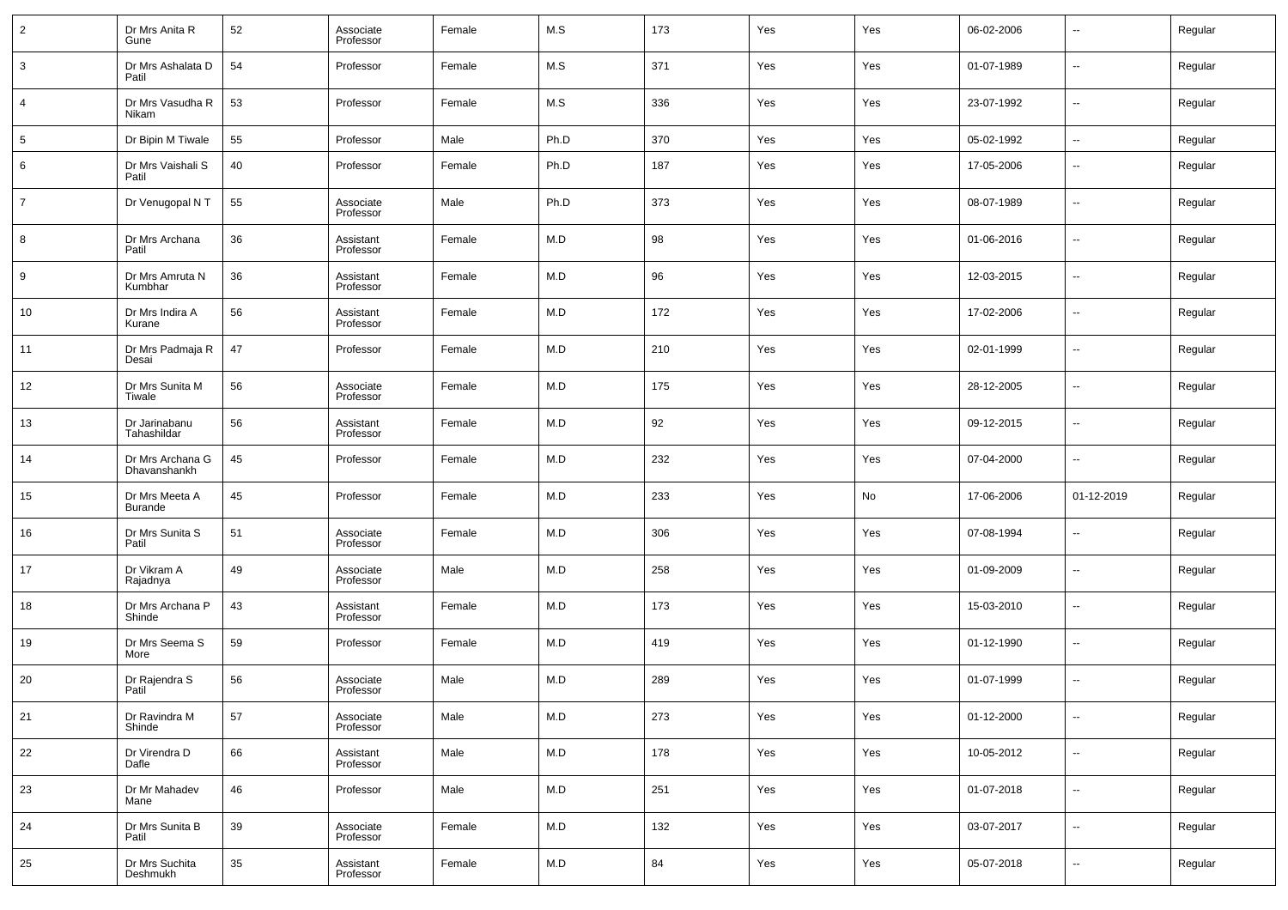| $\overline{2}$ | Dr Mrs Anita R<br>Gune           | 52     | Associate<br>Professor | Female | M.S  | 173 | Yes | Yes | 06-02-2006 | --                       | Regular |
|----------------|----------------------------------|--------|------------------------|--------|------|-----|-----|-----|------------|--------------------------|---------|
| 3              | Dr Mrs Ashalata D<br>Patil       | 54     | Professor              | Female | M.S  | 371 | Yes | Yes | 01-07-1989 | $\overline{\phantom{a}}$ | Regular |
| 4              | Dr Mrs Vasudha R<br>Nikam        | 53     | Professor              | Female | M.S  | 336 | Yes | Yes | 23-07-1992 | $\overline{\phantom{a}}$ | Regular |
| 5              | Dr Bipin M Tiwale                | 55     | Professor              | Male   | Ph.D | 370 | Yes | Yes | 05-02-1992 | --                       | Regular |
| 6              | Dr Mrs Vaishali S<br>Patil       | 40     | Professor              | Female | Ph.D | 187 | Yes | Yes | 17-05-2006 | $\overline{\phantom{a}}$ | Regular |
| $\overline{7}$ | Dr Venugopal N T                 | 55     | Associate<br>Professor | Male   | Ph.D | 373 | Yes | Yes | 08-07-1989 | $\overline{\phantom{a}}$ | Regular |
| 8              | Dr Mrs Archana<br>Patil          | 36     | Assistant<br>Professor | Female | M.D  | 98  | Yes | Yes | 01-06-2016 | $\overline{\phantom{a}}$ | Regular |
| 9              | Dr Mrs Amruta N<br>Kumbhar       | 36     | Assistant<br>Professor | Female | M.D  | 96  | Yes | Yes | 12-03-2015 | $\overline{\phantom{a}}$ | Regular |
| 10             | Dr Mrs Indira A<br>Kurane        | 56     | Assistant<br>Professor | Female | M.D  | 172 | Yes | Yes | 17-02-2006 | $\overline{\phantom{a}}$ | Regular |
| 11             | Dr Mrs Padmaja R<br>Desai        | 47     | Professor              | Female | M.D  | 210 | Yes | Yes | 02-01-1999 | $\overline{\phantom{a}}$ | Regular |
| 12             | Dr Mrs Sunita M<br>Tiwale        | 56     | Associate<br>Professor | Female | M.D  | 175 | Yes | Yes | 28-12-2005 | $\overline{\phantom{a}}$ | Regular |
| 13             | Dr Jarinabanu<br>Tahashildar     | 56     | Assistant<br>Professor | Female | M.D  | 92  | Yes | Yes | 09-12-2015 | $\overline{\phantom{a}}$ | Regular |
| 14             | Dr Mrs Archana G<br>Dhavanshankh | 45     | Professor              | Female | M.D  | 232 | Yes | Yes | 07-04-2000 | $\overline{\phantom{a}}$ | Regular |
| 15             | Dr Mrs Meeta A<br><b>Burande</b> | 45     | Professor              | Female | M.D  | 233 | Yes | No  | 17-06-2006 | 01-12-2019               | Regular |
| 16             | Dr Mrs Sunita S<br>Patil         | 51     | Associate<br>Professor | Female | M.D  | 306 | Yes | Yes | 07-08-1994 | $\overline{\phantom{a}}$ | Regular |
| 17             | Dr Vikram A<br>Rajadnya          | 49     | Associate<br>Professor | Male   | M.D  | 258 | Yes | Yes | 01-09-2009 | $\overline{\phantom{a}}$ | Regular |
| 18             | Dr Mrs Archana P<br>Shinde       | 43     | Assistant<br>Professor | Female | M.D  | 173 | Yes | Yes | 15-03-2010 | $\overline{\phantom{a}}$ | Regular |
| 19             | Dr Mrs Seema S<br>More           | 59     | Professor              | Female | M.D  | 419 | Yes | Yes | 01-12-1990 | $\overline{\phantom{a}}$ | Regular |
| 20             | Dr Rajendra S<br>Patil           | 56     | Associate<br>Professor | Male   | M.D  | 289 | Yes | Yes | 01-07-1999 | --                       | Regular |
| 21             | Dr Ravindra M<br>Shinde          | 57     | Associate<br>Professor | Male   | M.D  | 273 | Yes | Yes | 01-12-2000 | $\overline{\phantom{a}}$ | Regular |
| 22             | Dr Virendra D<br>Dafle           | 66     | Assistant<br>Professor | Male   | M.D  | 178 | Yes | Yes | 10-05-2012 | ۰.                       | Regular |
| 23             | Dr Mr Mahadev<br>Mane            | 46     | Professor              | Male   | M.D  | 251 | Yes | Yes | 01-07-2018 | ۰.                       | Regular |
| 24             | Dr Mrs Sunita B<br>Patil         | 39     | Associate<br>Professor | Female | M.D  | 132 | Yes | Yes | 03-07-2017 | ۰.                       | Regular |
| 25             | Dr Mrs Suchita<br>Deshmukh       | $35\,$ | Assistant<br>Professor | Female | M.D  | 84  | Yes | Yes | 05-07-2018 | $\overline{\phantom{a}}$ | Regular |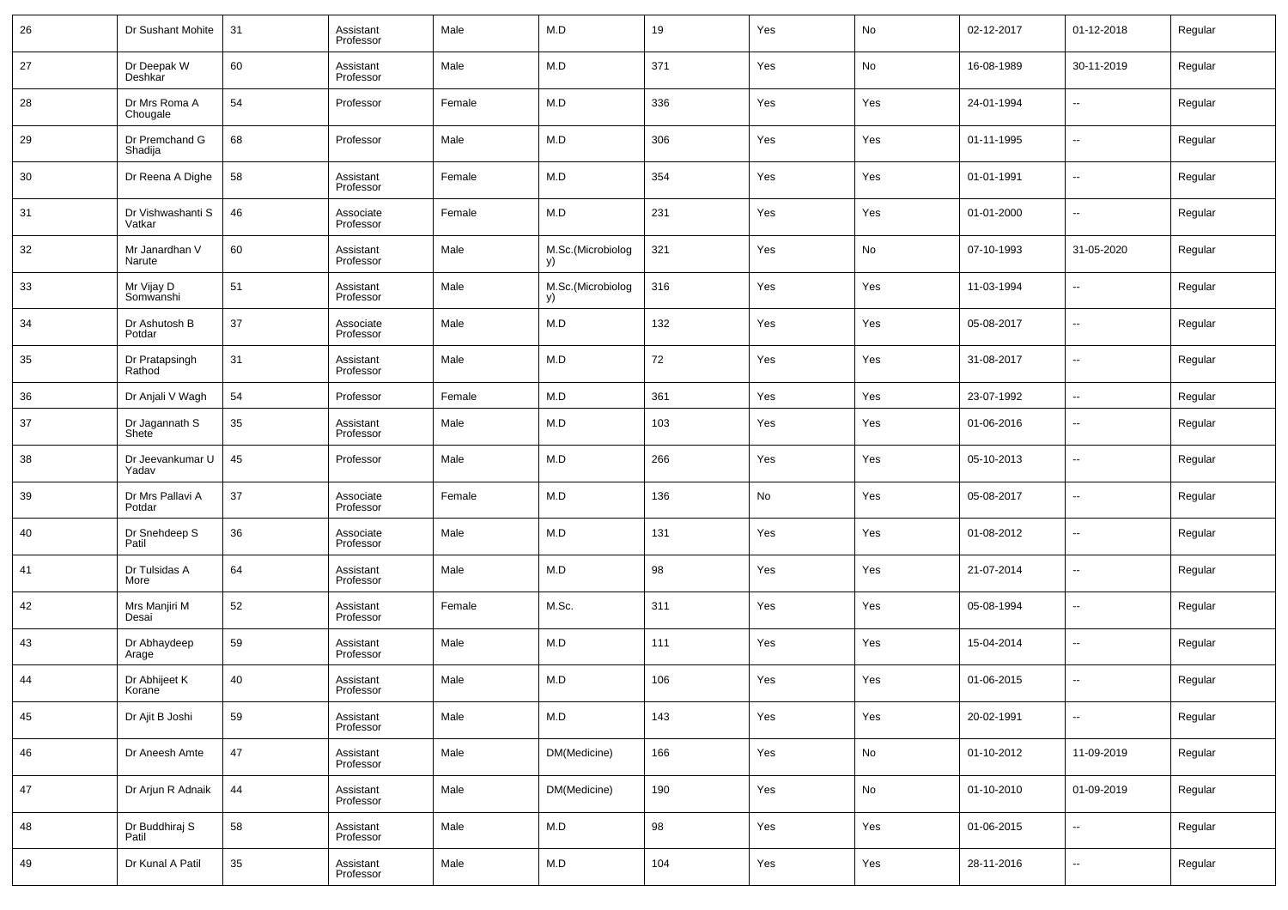| 26 | Dr Sushant Mohite           | 31 | Assistant<br>Professor | Male   | M.D                     | 19  | Yes | No  | 02-12-2017 | 01-12-2018               | Regular |
|----|-----------------------------|----|------------------------|--------|-------------------------|-----|-----|-----|------------|--------------------------|---------|
| 27 | Dr Deepak W<br>Deshkar      | 60 | Assistant<br>Professor | Male   | M.D                     | 371 | Yes | No  | 16-08-1989 | 30-11-2019               | Regular |
| 28 | Dr Mrs Roma A<br>Chougale   | 54 | Professor              | Female | M.D                     | 336 | Yes | Yes | 24-01-1994 | --                       | Regular |
| 29 | Dr Premchand G<br>Shadija   | 68 | Professor              | Male   | M.D                     | 306 | Yes | Yes | 01-11-1995 | --                       | Regular |
| 30 | Dr Reena A Dighe            | 58 | Assistant<br>Professor | Female | M.D                     | 354 | Yes | Yes | 01-01-1991 | ш,                       | Regular |
| 31 | Dr Vishwashanti S<br>Vatkar | 46 | Associate<br>Professor | Female | M.D                     | 231 | Yes | Yes | 01-01-2000 | --                       | Regular |
| 32 | Mr Janardhan V<br>Narute    | 60 | Assistant<br>Professor | Male   | M.Sc.(Microbiolog<br>y) | 321 | Yes | No  | 07-10-1993 | 31-05-2020               | Regular |
| 33 | Mr Vijay D<br>Somwanshi     | 51 | Assistant<br>Professor | Male   | M.Sc.(Microbiolog<br>y) | 316 | Yes | Yes | 11-03-1994 | --                       | Regular |
| 34 | Dr Ashutosh B<br>Potdar     | 37 | Associate<br>Professor | Male   | M.D                     | 132 | Yes | Yes | 05-08-2017 | ш,                       | Regular |
| 35 | Dr Pratapsingh<br>Rathod    | 31 | Assistant<br>Professor | Male   | M.D                     | 72  | Yes | Yes | 31-08-2017 | --                       | Regular |
| 36 | Dr Anjali V Wagh            | 54 | Professor              | Female | M.D                     | 361 | Yes | Yes | 23-07-1992 | $\overline{\phantom{a}}$ | Regular |
| 37 | Dr Jagannath S<br>Shete     | 35 | Assistant<br>Professor | Male   | M.D                     | 103 | Yes | Yes | 01-06-2016 | --                       | Regular |
| 38 | Dr Jeevankumar U<br>Yadav   | 45 | Professor              | Male   | M.D                     | 266 | Yes | Yes | 05-10-2013 | --                       | Regular |
| 39 | Dr Mrs Pallavi A<br>Potdar  | 37 | Associate<br>Professor | Female | M.D                     | 136 | No  | Yes | 05-08-2017 | --                       | Regular |
| 40 | Dr Snehdeep S<br>Patil      | 36 | Associate<br>Professor | Male   | M.D                     | 131 | Yes | Yes | 01-08-2012 | --                       | Regular |
| 41 | Dr Tulsidas A<br>More       | 64 | Assistant<br>Professor | Male   | M.D                     | 98  | Yes | Yes | 21-07-2014 | --                       | Regular |
| 42 | Mrs Manjiri M<br>Desai      | 52 | Assistant<br>Professor | Female | M.Sc.                   | 311 | Yes | Yes | 05-08-1994 | --                       | Regular |
| 43 | Dr Abhaydeep<br>Arage       | 59 | Assistant<br>Professor | Male   | M.D                     | 111 | Yes | Yes | 15-04-2014 | --                       | Regular |
| 44 | Dr Abhijeet K<br>Korane     | 40 | Assistant<br>Professor | Male   | M.D                     | 106 | Yes | Yes | 01-06-2015 | --                       | Regular |
| 45 | Dr Ajit B Joshi             | 59 | Assistant<br>Professor | Male   | M.D                     | 143 | Yes | Yes | 20-02-1991 | $\sim$                   | Regular |
| 46 | Dr Aneesh Amte              | 47 | Assistant<br>Professor | Male   | DM(Medicine)            | 166 | Yes | No  | 01-10-2012 | 11-09-2019               | Regular |
| 47 | Dr Arjun R Adnaik           | 44 | Assistant<br>Professor | Male   | DM(Medicine)            | 190 | Yes | No  | 01-10-2010 | 01-09-2019               | Regular |
| 48 | Dr Buddhiraj S<br>Patil     | 58 | Assistant<br>Professor | Male   | ${\sf M.D}$             | 98  | Yes | Yes | 01-06-2015 | $\overline{\phantom{a}}$ | Regular |
| 49 | Dr Kunal A Patil            | 35 | Assistant<br>Professor | Male   | ${\sf M.D}$             | 104 | Yes | Yes | 28-11-2016 | $\sim$                   | Regular |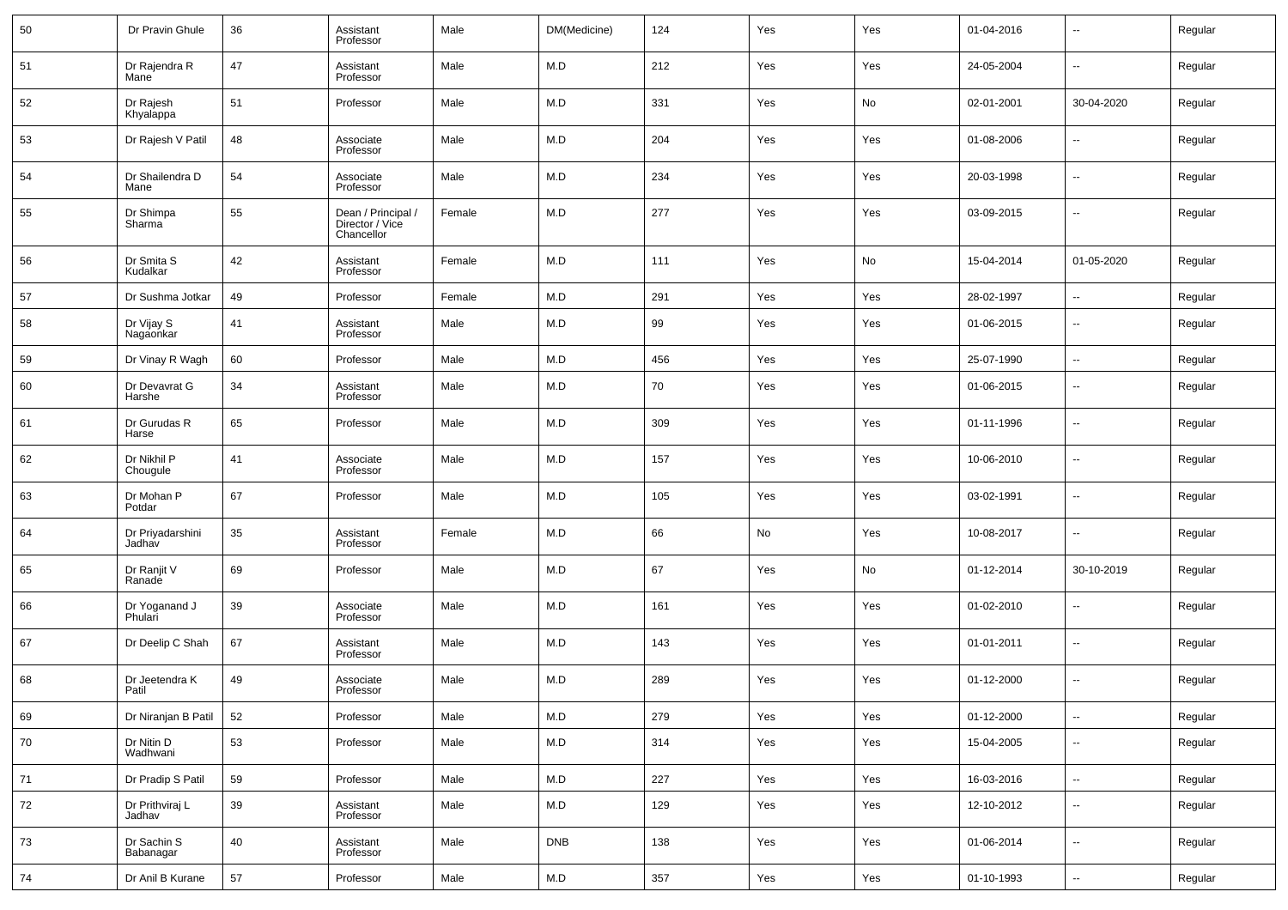| 50 | Dr Pravin Ghule            | 36 | Assistant<br>Professor                              | Male   | DM(Medicine) | 124 | Yes | Yes | 01-04-2016 | н.                       | Regular |
|----|----------------------------|----|-----------------------------------------------------|--------|--------------|-----|-----|-----|------------|--------------------------|---------|
| 51 | Dr Rajendra R<br>Mane      | 47 | Assistant<br>Professor                              | Male   | M.D          | 212 | Yes | Yes | 24-05-2004 | $\sim$                   | Regular |
| 52 | Dr Rajesh<br>Khyalappa     | 51 | Professor                                           | Male   | M.D          | 331 | Yes | No  | 02-01-2001 | 30-04-2020               | Regular |
| 53 | Dr Rajesh V Patil          | 48 | Associate<br>Professor                              | Male   | M.D          | 204 | Yes | Yes | 01-08-2006 | н.                       | Regular |
| 54 | Dr Shailendra D<br>Mane    | 54 | Associate<br>Professor                              | Male   | M.D          | 234 | Yes | Yes | 20-03-1998 | $\overline{\phantom{a}}$ | Regular |
| 55 | Dr Shimpa<br>Sharma        | 55 | Dean / Principal /<br>Director / Vice<br>Chancellor | Female | M.D          | 277 | Yes | Yes | 03-09-2015 | $\overline{\phantom{a}}$ | Regular |
| 56 | Dr Smita S<br>Kudalkar     | 42 | Assistant<br>Professor                              | Female | M.D          | 111 | Yes | No  | 15-04-2014 | 01-05-2020               | Regular |
| 57 | Dr Sushma Jotkar           | 49 | Professor                                           | Female | M.D          | 291 | Yes | Yes | 28-02-1997 | $\ddotsc$                | Regular |
| 58 | Dr Vijay S<br>Nagaonkar    | 41 | Assistant<br>Professor                              | Male   | M.D          | 99  | Yes | Yes | 01-06-2015 | $\overline{\phantom{a}}$ | Regular |
| 59 | Dr Vinay R Wagh            | 60 | Professor                                           | Male   | M.D          | 456 | Yes | Yes | 25-07-1990 | $\sim$                   | Regular |
| 60 | Dr Devavrat G<br>Harshe    | 34 | Assistant<br>Professor                              | Male   | M.D          | 70  | Yes | Yes | 01-06-2015 | ⊷                        | Regular |
| 61 | Dr Gurudas R<br>Harse      | 65 | Professor                                           | Male   | M.D          | 309 | Yes | Yes | 01-11-1996 | ⊷                        | Regular |
| 62 | Dr Nikhil P<br>Chougule    | 41 | Associate<br>Professor                              | Male   | M.D          | 157 | Yes | Yes | 10-06-2010 | ⊷                        | Regular |
| 63 | Dr Mohan P<br>Potdar       | 67 | Professor                                           | Male   | M.D          | 105 | Yes | Yes | 03-02-1991 | ⊶.                       | Regular |
| 64 | Dr Priyadarshini<br>Jadhav | 35 | Assistant<br>Professor                              | Female | M.D          | 66  | No  | Yes | 10-08-2017 | ⊷                        | Regular |
| 65 | Dr Ranjit V<br>Ranade      | 69 | Professor                                           | Male   | M.D          | 67  | Yes | No  | 01-12-2014 | 30-10-2019               | Regular |
| 66 | Dr Yoganand J<br>Phulari   | 39 | Associate<br>Professor                              | Male   | M.D          | 161 | Yes | Yes | 01-02-2010 | н.                       | Regular |
| 67 | Dr Deelip C Shah           | 67 | Assistant<br>Professor                              | Male   | M.D          | 143 | Yes | Yes | 01-01-2011 | ⊷                        | Regular |
| 68 | Dr Jeetendra K<br>Patil    | 49 | Associate<br>Professor                              | Male   | M.D          | 289 | Yes | Yes | 01-12-2000 | н.                       | Regular |
| 69 | Dr Niranjan B Patil        | 52 | Professor                                           | Male   | M.D          | 279 | Yes | Yes | 01-12-2000 | ⊷                        | Regular |
| 70 | Dr Nitin D<br>Wadhwani     | 53 | Professor                                           | Male   | M.D          | 314 | Yes | Yes | 15-04-2005 | н.                       | Regular |
| 71 | Dr Pradip S Patil          | 59 | Professor                                           | Male   | M.D          | 227 | Yes | Yes | 16-03-2016 | н.                       | Regular |
| 72 | Dr Prithviraj L<br>Jadhav  | 39 | Assistant<br>Professor                              | Male   | M.D          | 129 | Yes | Yes | 12-10-2012 | $\sim$                   | Regular |
| 73 | Dr Sachin S<br>Babanagar   | 40 | Assistant<br>Professor                              | Male   | <b>DNB</b>   | 138 | Yes | Yes | 01-06-2014 | н.                       | Regular |
| 74 | Dr Anil B Kurane           | 57 | Professor                                           | Male   | M.D          | 357 | Yes | Yes | 01-10-1993 | ц.                       | Regular |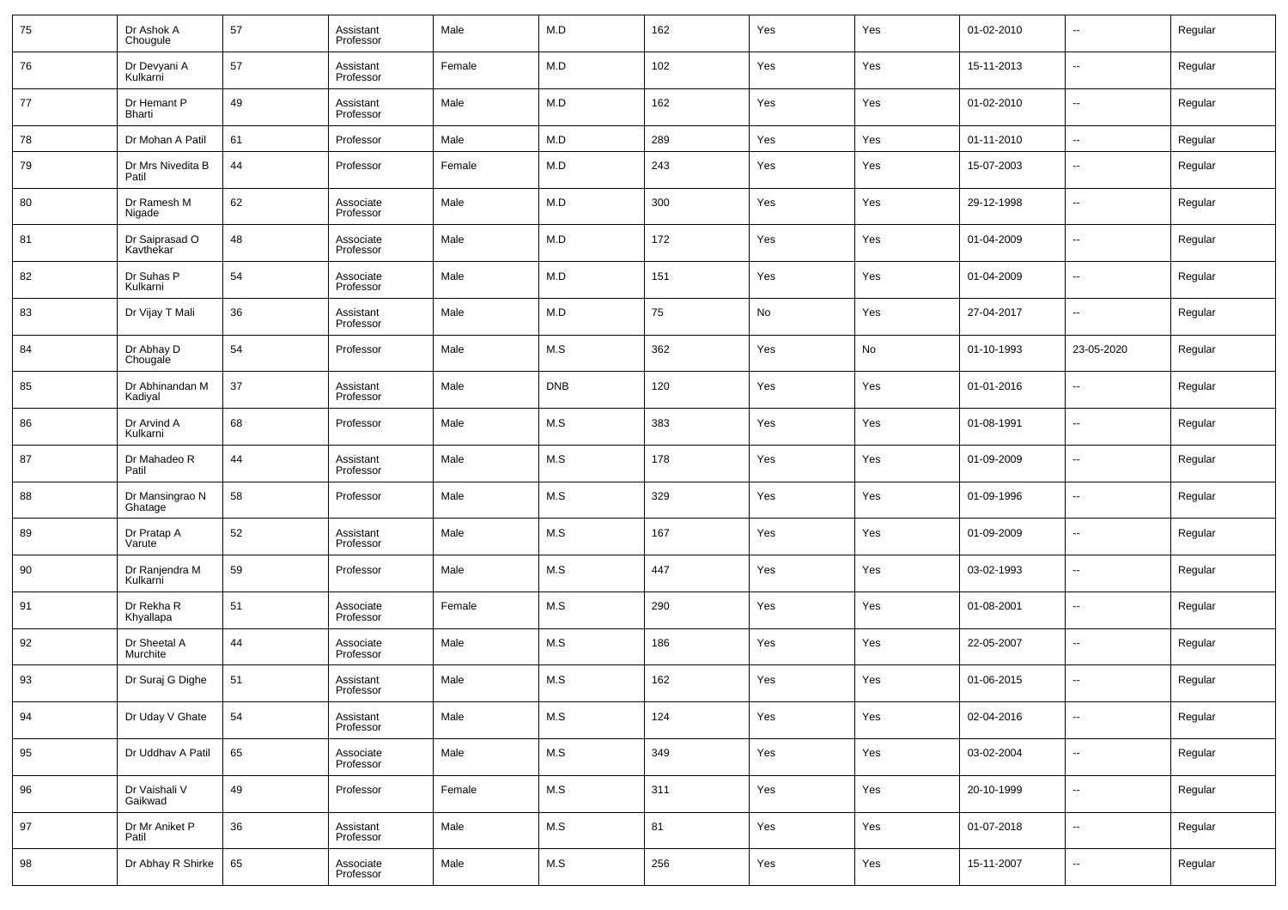| 75 | Dr Ashok A<br>Chougule      | 57 | Assistant<br>Professor | Male   | M.D        | 162 | Yes | Yes | 01-02-2010 | $\overline{\phantom{a}}$ | Regular |
|----|-----------------------------|----|------------------------|--------|------------|-----|-----|-----|------------|--------------------------|---------|
| 76 | Dr Devyani A<br>Kulkarni    | 57 | Assistant<br>Professor | Female | M.D        | 102 | Yes | Yes | 15-11-2013 | $\overline{\phantom{a}}$ | Regular |
| 77 | Dr Hemant P<br>Bharti       | 49 | Assistant<br>Professor | Male   | M.D        | 162 | Yes | Yes | 01-02-2010 | $\overline{\phantom{a}}$ | Regular |
| 78 | Dr Mohan A Patil            | 61 | Professor              | Male   | M.D        | 289 | Yes | Yes | 01-11-2010 | $\overline{\phantom{a}}$ | Regular |
| 79 | Dr Mrs Nivedita B<br>Patil  | 44 | Professor              | Female | M.D        | 243 | Yes | Yes | 15-07-2003 | $\sim$                   | Regular |
| 80 | Dr Ramesh M<br>Nigade       | 62 | Associate<br>Professor | Male   | M.D        | 300 | Yes | Yes | 29-12-1998 | ш,                       | Regular |
| 81 | Dr Saiprasad O<br>Kavthekar | 48 | Associate<br>Professor | Male   | M.D        | 172 | Yes | Yes | 01-04-2009 | н.                       | Regular |
| 82 | Dr Suhas P<br>Kulkarni      | 54 | Associate<br>Professor | Male   | M.D        | 151 | Yes | Yes | 01-04-2009 | ш,                       | Regular |
| 83 | Dr Vijay T Mali             | 36 | Assistant<br>Professor | Male   | M.D        | 75  | No  | Yes | 27-04-2017 | --                       | Regular |
| 84 | Dr Abhay D<br>Chougale      | 54 | Professor              | Male   | M.S        | 362 | Yes | No  | 01-10-1993 | 23-05-2020               | Regular |
| 85 | Dr Abhinandan M<br>Kadiyal  | 37 | Assistant<br>Professor | Male   | <b>DNB</b> | 120 | Yes | Yes | 01-01-2016 | --                       | Regular |
| 86 | Dr Arvind A<br>Kulkarni     | 68 | Professor              | Male   | M.S        | 383 | Yes | Yes | 01-08-1991 | --                       | Regular |
| 87 | Dr Mahadeo R<br>Patil       | 44 | Assistant<br>Professor | Male   | M.S        | 178 | Yes | Yes | 01-09-2009 | $\overline{\phantom{a}}$ | Regular |
| 88 | Dr Mansingrao N<br>Ghatage  | 58 | Professor              | Male   | M.S        | 329 | Yes | Yes | 01-09-1996 | --                       | Regular |
| 89 | Dr Pratap A<br>Varute       | 52 | Assistant<br>Professor | Male   | M.S        | 167 | Yes | Yes | 01-09-2009 | $\overline{\phantom{a}}$ | Regular |
| 90 | Dr Ranjendra M<br>Kulkarni  | 59 | Professor              | Male   | M.S        | 447 | Yes | Yes | 03-02-1993 | $\sim$                   | Regular |
| 91 | Dr Rekha R<br>Khyallapa     | 51 | Associate<br>Professor | Female | M.S        | 290 | Yes | Yes | 01-08-2001 | $\overline{\phantom{a}}$ | Regular |
| 92 | Dr Sheetal A<br>Murchite    | 44 | Associate<br>Professor | Male   | M.S        | 186 | Yes | Yes | 22-05-2007 | $\sim$                   | Regular |
| 93 | Dr Suraj G Dighe            | 51 | Assistant<br>Professor | Male   | M.S        | 162 | Yes | Yes | 01-06-2015 | --                       | Regular |
| 94 | Dr Uday V Ghate             | 54 | Assistant<br>Professor | Male   | M.S        | 124 | Yes | Yes | 02-04-2016 | $\overline{\phantom{a}}$ | Regular |
| 95 | Dr Uddhav A Patil           | 65 | Associate<br>Professor | Male   | M.S        | 349 | Yes | Yes | 03-02-2004 | $\overline{\phantom{a}}$ | Regular |
| 96 | Dr Vaishali V<br>Gaikwad    | 49 | Professor              | Female | M.S        | 311 | Yes | Yes | 20-10-1999 | $\overline{\phantom{a}}$ | Regular |
| 97 | Dr Mr Aniket P<br>Patil     | 36 | Assistant<br>Professor | Male   | M.S        | 81  | Yes | Yes | 01-07-2018 | $\overline{\phantom{a}}$ | Regular |
| 98 | Dr Abhay R Shirke           | 65 | Associate<br>Professor | Male   | M.S        | 256 | Yes | Yes | 15-11-2007 | $\overline{\phantom{a}}$ | Regular |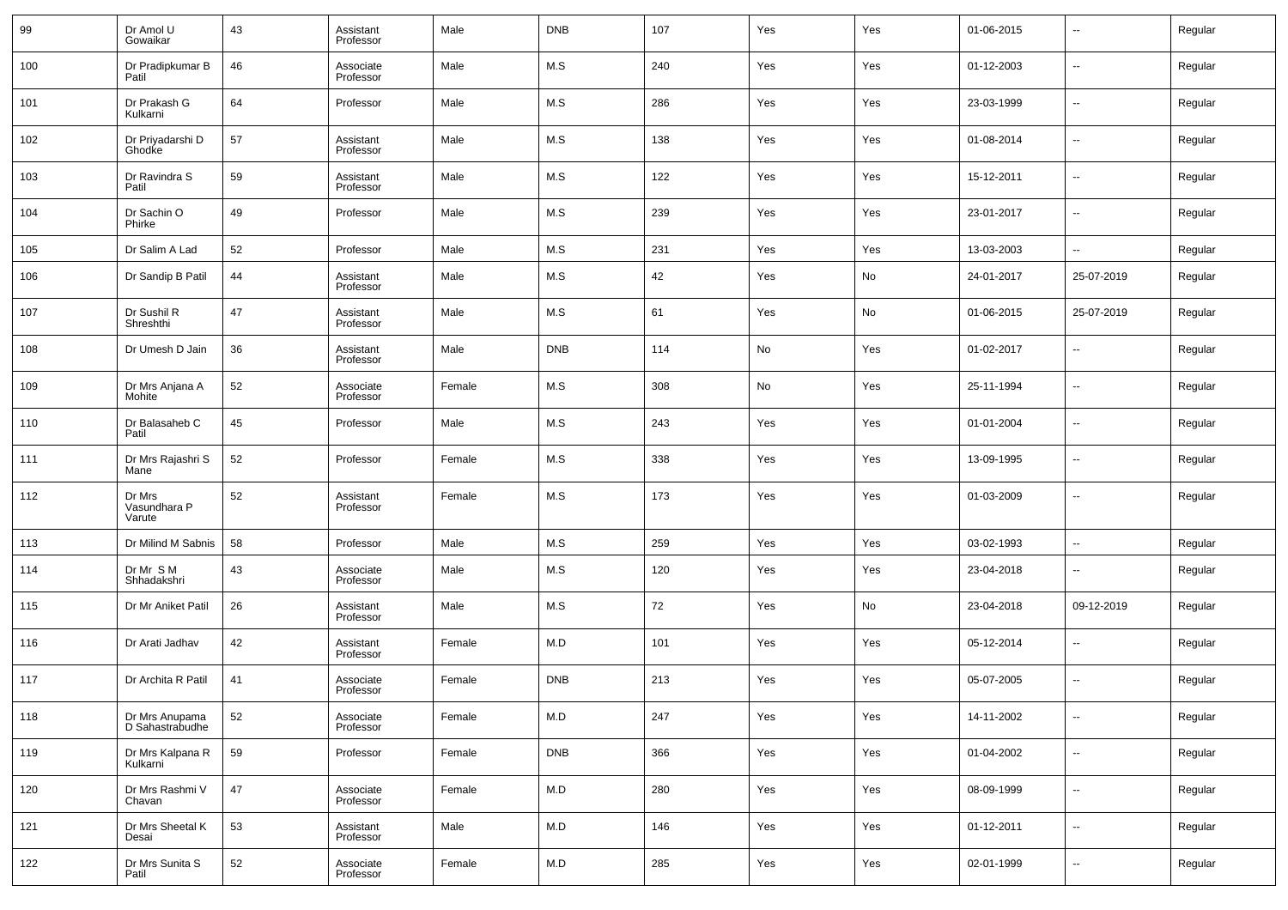| 99  | Dr Amol U<br>Gowaikar             | 43 | Assistant<br>Professor | Male   | <b>DNB</b> | 107 | Yes | Yes | 01-06-2015 | $\overline{\phantom{a}}$ | Regular |
|-----|-----------------------------------|----|------------------------|--------|------------|-----|-----|-----|------------|--------------------------|---------|
| 100 | Dr Pradipkumar B<br>Patil         | 46 | Associate<br>Professor | Male   | M.S        | 240 | Yes | Yes | 01-12-2003 | $\overline{\phantom{a}}$ | Regular |
| 101 | Dr Prakash G<br>Kulkarni          | 64 | Professor              | Male   | M.S        | 286 | Yes | Yes | 23-03-1999 | $\overline{\phantom{a}}$ | Regular |
| 102 | Dr Priyadarshi D<br>Ghodke        | 57 | Assistant<br>Professor | Male   | M.S        | 138 | Yes | Yes | 01-08-2014 | $\overline{\phantom{a}}$ | Regular |
| 103 | Dr Ravindra S<br>Patil            | 59 | Assistant<br>Professor | Male   | M.S        | 122 | Yes | Yes | 15-12-2011 | $\sim$                   | Regular |
| 104 | Dr Sachin O<br>Phirke             | 49 | Professor              | Male   | M.S        | 239 | Yes | Yes | 23-01-2017 | $\overline{\phantom{a}}$ | Regular |
| 105 | Dr Salim A Lad                    | 52 | Professor              | Male   | M.S        | 231 | Yes | Yes | 13-03-2003 | н.                       | Regular |
| 106 | Dr Sandip B Patil                 | 44 | Assistant<br>Professor | Male   | M.S        | 42  | Yes | No  | 24-01-2017 | 25-07-2019               | Regular |
| 107 | Dr Sushil R<br>Shreshthi          | 47 | Assistant<br>Professor | Male   | M.S        | 61  | Yes | No  | 01-06-2015 | 25-07-2019               | Regular |
| 108 | Dr Umesh D Jain                   | 36 | Assistant<br>Professor | Male   | <b>DNB</b> | 114 | No  | Yes | 01-02-2017 | --                       | Regular |
| 109 | Dr Mrs Anjana A<br>Mohite         | 52 | Associate<br>Professor | Female | M.S        | 308 | No  | Yes | 25-11-1994 | --                       | Regular |
| 110 | Dr Balasaheb C<br>Patil           | 45 | Professor              | Male   | M.S        | 243 | Yes | Yes | 01-01-2004 | --                       | Regular |
| 111 | Dr Mrs Rajashri S<br>Mane         | 52 | Professor              | Female | M.S        | 338 | Yes | Yes | 13-09-1995 | --                       | Regular |
| 112 | Dr Mrs<br>Vasundhara P<br>Varute  | 52 | Assistant<br>Professor | Female | M.S        | 173 | Yes | Yes | 01-03-2009 | --                       | Regular |
| 113 | Dr Milind M Sabnis                | 58 | Professor              | Male   | M.S        | 259 | Yes | Yes | 03-02-1993 | $\overline{\phantom{a}}$ | Regular |
| 114 | Dr Mr S M<br>Shhadakshri          | 43 | Associate<br>Professor | Male   | M.S        | 120 | Yes | Yes | 23-04-2018 | --                       | Regular |
| 115 | Dr Mr Aniket Patil                | 26 | Assistant<br>Professor | Male   | M.S        | 72  | Yes | No  | 23-04-2018 | 09-12-2019               | Regular |
| 116 | Dr Arati Jadhav                   | 42 | Assistant<br>Professor | Female | M.D        | 101 | Yes | Yes | 05-12-2014 | --                       | Regular |
| 117 | Dr Archita R Patil                | 41 | Associate<br>Professor | Female | <b>DNB</b> | 213 | Yes | Yes | 05-07-2005 | --                       | Regular |
| 118 | Dr Mrs Anupama<br>D Sahastrabudhe | 52 | Associate<br>Professor | Female | M.D        | 247 | Yes | Yes | 14-11-2002 | $\sim$                   | Regular |
| 119 | Dr Mrs Kalpana R<br>Kulkarni      | 59 | Professor              | Female | <b>DNB</b> | 366 | Yes | Yes | 01-04-2002 | $\overline{\phantom{a}}$ | Regular |
| 120 | Dr Mrs Rashmi V<br>Chavan         | 47 | Associate<br>Professor | Female | M.D        | 280 | Yes | Yes | 08-09-1999 | $\sim$                   | Regular |
| 121 | Dr Mrs Sheetal K<br>Desai         | 53 | Assistant<br>Professor | Male   | M.D        | 146 | Yes | Yes | 01-12-2011 | $\overline{\phantom{a}}$ | Regular |
| 122 | Dr Mrs Sunita S<br>Patil          | 52 | Associate<br>Professor | Female | M.D        | 285 | Yes | Yes | 02-01-1999 | $\overline{\phantom{a}}$ | Regular |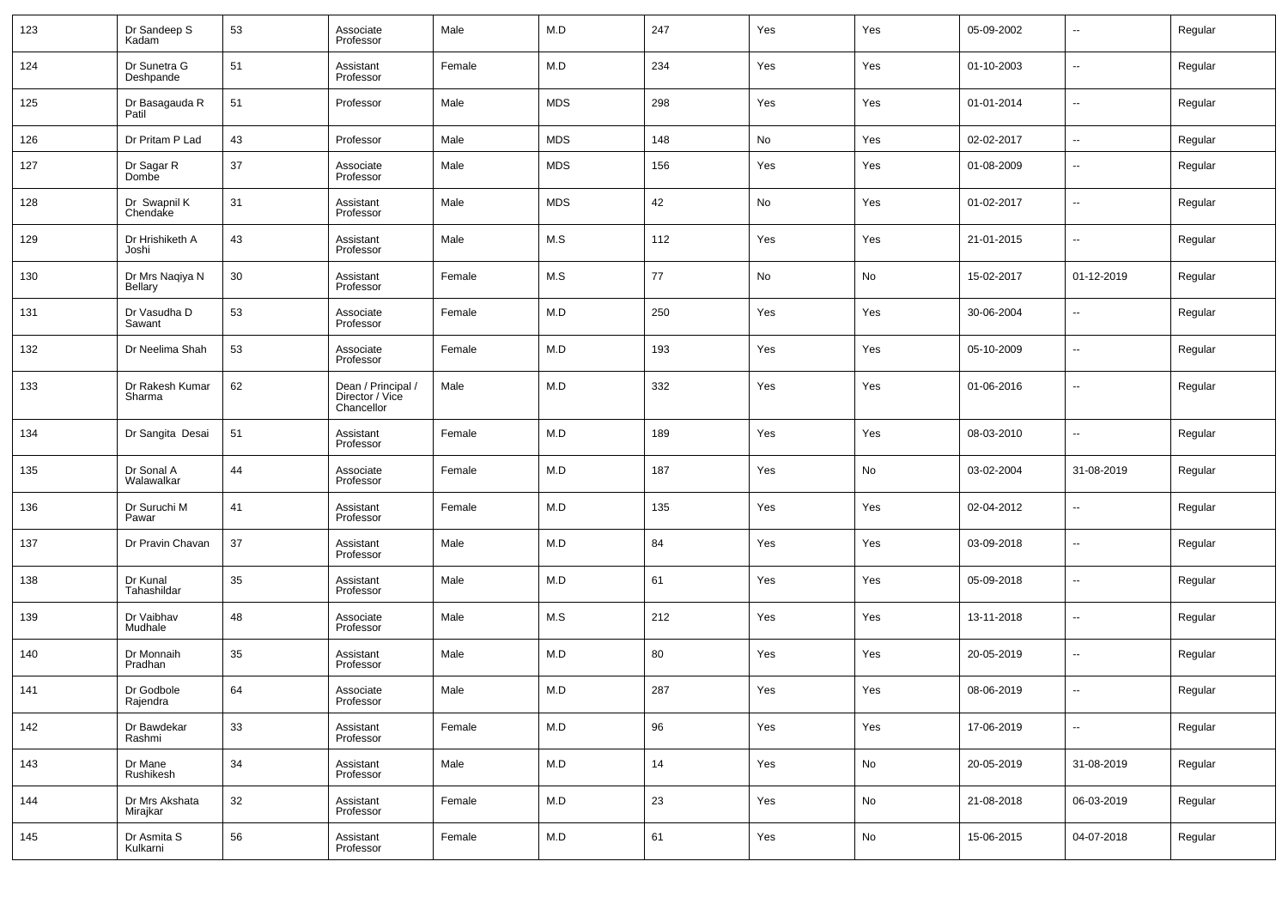| 123 | Dr Sandeep S<br>Kadam             | 53 | Associate<br>Professor                              | Male   | M.D        | 247 | Yes | Yes | 05-09-2002 | --                       | Regular |
|-----|-----------------------------------|----|-----------------------------------------------------|--------|------------|-----|-----|-----|------------|--------------------------|---------|
| 124 | Dr Sunetra G<br>Deshpande         | 51 | Assistant<br>Professor                              | Female | M.D        | 234 | Yes | Yes | 01-10-2003 | $\overline{\phantom{a}}$ | Regular |
| 125 | Dr Basagauda R<br>Patil           | 51 | Professor                                           | Male   | <b>MDS</b> | 298 | Yes | Yes | 01-01-2014 | −−                       | Regular |
| 126 | Dr Pritam P Lad                   | 43 | Professor                                           | Male   | <b>MDS</b> | 148 | No  | Yes | 02-02-2017 | $\sim$                   | Regular |
| 127 | Dr Sagar R<br>Dombe               | 37 | Associate<br>Professor                              | Male   | MDS        | 156 | Yes | Yes | 01-08-2009 | ÷.                       | Regular |
| 128 | Dr Swapnil K<br>Chendake          | 31 | Assistant<br>Professor                              | Male   | <b>MDS</b> | 42  | No  | Yes | 01-02-2017 | --                       | Regular |
| 129 | Dr Hrishiketh A<br>Joshi          | 43 | Assistant<br>Professor                              | Male   | M.S        | 112 | Yes | Yes | 21-01-2015 | ÷.                       | Regular |
| 130 | Dr Mrs Naqiya N<br><b>Bellary</b> | 30 | Assistant<br>Professor                              | Female | M.S        | 77  | No  | No  | 15-02-2017 | 01-12-2019               | Regular |
| 131 | Dr Vasudha D<br>Sawant            | 53 | Associate<br>Professor                              | Female | M.D        | 250 | Yes | Yes | 30-06-2004 | ÷.                       | Regular |
| 132 | Dr Neelima Shah                   | 53 | Associate<br>Professor                              | Female | M.D        | 193 | Yes | Yes | 05-10-2009 | ÷.                       | Regular |
| 133 | Dr Rakesh Kumar<br>Sharma         | 62 | Dean / Principal /<br>Director / Vice<br>Chancellor | Male   | M.D        | 332 | Yes | Yes | 01-06-2016 | --                       | Regular |
| 134 | Dr Sangita Desai                  | 51 | Assistant<br>Professor                              | Female | M.D        | 189 | Yes | Yes | 08-03-2010 | --                       | Regular |
| 135 | Dr Sonal A<br>Walawalkar          | 44 | Associate<br>Professor                              | Female | M.D        | 187 | Yes | No  | 03-02-2004 | 31-08-2019               | Regular |
| 136 | Dr Suruchi M<br>Pawar             | 41 | Assistant<br>Professor                              | Female | M.D        | 135 | Yes | Yes | 02-04-2012 | --                       | Regular |
| 137 | Dr Pravin Chavan                  | 37 | Assistant<br>Professor                              | Male   | M.D        | 84  | Yes | Yes | 03-09-2018 | $\overline{\phantom{a}}$ | Regular |
| 138 | Dr Kunal<br>Tahashildar           | 35 | Assistant<br>Professor                              | Male   | M.D        | 61  | Yes | Yes | 05-09-2018 | --                       | Regular |
| 139 | Dr Vaibhav<br>Mudhale             | 48 | Associate<br>Professor                              | Male   | M.S        | 212 | Yes | Yes | 13-11-2018 | --                       | Regular |
| 140 | Dr Monnaih<br>Pradhan             | 35 | Assistant<br>Professor                              | Male   | M.D        | 80  | Yes | Yes | 20-05-2019 | $\overline{\phantom{a}}$ | Regular |
| 141 | Dr Godbole<br>Rajendra            | 64 | Associate<br>Professor                              | Male   | M.D        | 287 | Yes | Yes | 08-06-2019 | --                       | Regular |
| 142 | Dr Bawdekar<br>Rashmi             | 33 | Assistant<br>Professor                              | Female | M.D        | 96  | Yes | Yes | 17-06-2019 | ۰.                       | Regular |
| 143 | Dr Mane<br>Rushikesh              | 34 | Assistant<br>Professor                              | Male   | M.D        | 14  | Yes | No  | 20-05-2019 | 31-08-2019               | Regular |
| 144 | Dr Mrs Akshata<br>Mirajkar        | 32 | Assistant<br>Professor                              | Female | M.D        | 23  | Yes | No  | 21-08-2018 | 06-03-2019               | Regular |
| 145 | Dr Asmita S<br>Kulkarni           | 56 | Assistant<br>Professor                              | Female | M.D        | 61  | Yes | No  | 15-06-2015 | 04-07-2018               | Regular |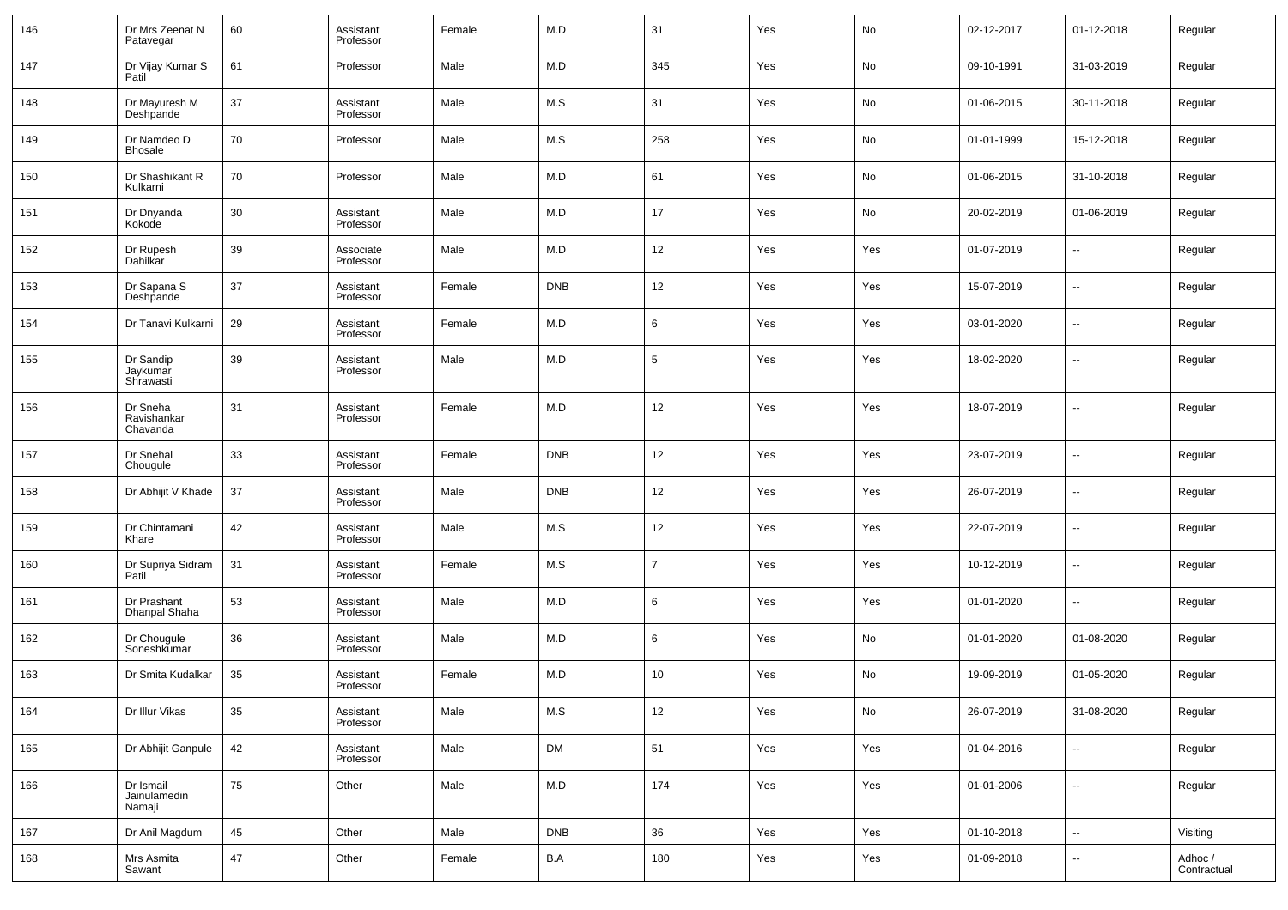| 146 | Dr Mrs Zeenat N<br>Patavegar        | 60 | Assistant<br>Professor | Female | M.D                     | 31              | Yes | $\mathsf{No}$                | 02-12-2017 | 01-12-2018               | Regular                |
|-----|-------------------------------------|----|------------------------|--------|-------------------------|-----------------|-----|------------------------------|------------|--------------------------|------------------------|
| 147 | Dr Vijay Kumar S<br>Patil           | 61 | Professor              | Male   | M.D                     | 345             | Yes | No                           | 09-10-1991 | 31-03-2019               | Regular                |
| 148 | Dr Mayuresh M<br>Deshpande          | 37 | Assistant<br>Professor | Male   | M.S                     | 31              | Yes | No                           | 01-06-2015 | 30-11-2018               | Regular                |
| 149 | Dr Namdeo D<br><b>Bhosale</b>       | 70 | Professor              | Male   | M.S                     | 258             | Yes | No                           | 01-01-1999 | 15-12-2018               | Regular                |
| 150 | Dr Shashikant R<br>Kulkarni         | 70 | Professor              | Male   | M.D                     | 61              | Yes | No                           | 01-06-2015 | 31-10-2018               | Regular                |
| 151 | Dr Dnyanda<br>Kokode                | 30 | Assistant<br>Professor | Male   | M.D                     | 17              | Yes | No                           | 20-02-2019 | 01-06-2019               | Regular                |
| 152 | Dr Rupesh<br>Dahilkar               | 39 | Associate<br>Professor | Male   | M.D                     | 12              | Yes | Yes                          | 01-07-2019 | $\overline{\phantom{a}}$ | Regular                |
| 153 | Dr Sapana S<br>Deshpande            | 37 | Assistant<br>Professor | Female | <b>DNB</b>              | 12              | Yes | Yes                          | 15-07-2019 | --                       | Regular                |
| 154 | Dr Tanavi Kulkarni                  | 29 | Assistant<br>Professor | Female | M.D                     | 6               | Yes | Yes                          | 03-01-2020 | $\overline{\phantom{a}}$ | Regular                |
| 155 | Dr Sandip<br>Jaykumar<br>Shrawasti  | 39 | Assistant<br>Professor | Male   | M.D                     | $5\phantom{.0}$ | Yes | Yes                          | 18-02-2020 | $\overline{\phantom{a}}$ | Regular                |
| 156 | Dr Sneha<br>Ravishankar<br>Chavanda | 31 | Assistant<br>Professor | Female | M.D                     | 12              | Yes | Yes                          | 18-07-2019 | $\overline{a}$           | Regular                |
| 157 | Dr Snehal<br>Chougule               | 33 | Assistant<br>Professor | Female | <b>DNB</b>              | 12              | Yes | Yes                          | 23-07-2019 | $\overline{\phantom{a}}$ | Regular                |
| 158 | Dr Abhijit V Khade                  | 37 | Assistant<br>Professor | Male   | <b>DNB</b>              | 12              | Yes | Yes                          | 26-07-2019 | $\overline{\phantom{a}}$ | Regular                |
| 159 | Dr Chintamani<br>Khare              | 42 | Assistant<br>Professor | Male   | M.S                     | 12              | Yes | Yes                          | 22-07-2019 | $\overline{\phantom{a}}$ | Regular                |
| 160 | Dr Supriya Sidram<br>Patil          | 31 | Assistant<br>Professor | Female | M.S                     | $\overline{7}$  | Yes | Yes                          | 10-12-2019 | $\overline{\phantom{a}}$ | Regular                |
| 161 | Dr Prashant<br>Dhanpal Shaha        | 53 | Assistant<br>Professor | Male   | M.D                     | 6               | Yes | Yes                          | 01-01-2020 | --                       | Regular                |
| 162 | Dr Chougule<br>Soneshkumar          | 36 | Assistant<br>Professor | Male   | M.D                     | 6               | Yes | No                           | 01-01-2020 | 01-08-2020               | Regular                |
| 163 | Dr Smita Kudalkar                   | 35 | Assistant<br>Professor | Female | M.D                     | 10              | Yes | No                           | 19-09-2019 | 01-05-2020               | Regular                |
| 164 | Dr Illur Vikas                      | 35 | Assistant<br>Professor | Male   | M.S                     | 12              | Yes | $\operatorname{\mathsf{No}}$ | 26-07-2019 | 31-08-2020               | Regular                |
| 165 | Dr Abhijit Ganpule                  | 42 | Assistant<br>Professor | Male   | DM                      | 51              | Yes | Yes                          | 01-04-2016 | Ξ.                       | Regular                |
| 166 | Dr Ismail<br>Jainulamedin<br>Namaji | 75 | Other                  | Male   | M.D                     | 174             | Yes | Yes                          | 01-01-2006 | н.                       | Regular                |
| 167 | Dr Anil Magdum                      | 45 | Other                  | Male   | <b>DNB</b>              | 36              | Yes | Yes                          | 01-10-2018 | щ.                       | Visiting               |
| 168 | Mrs Asmita<br>Sawant                | 47 | Other                  | Female | $\mathsf{B}.\mathsf{A}$ | 180             | Yes | Yes                          | 01-09-2018 | $\sim$                   | Adhoc /<br>Contractual |